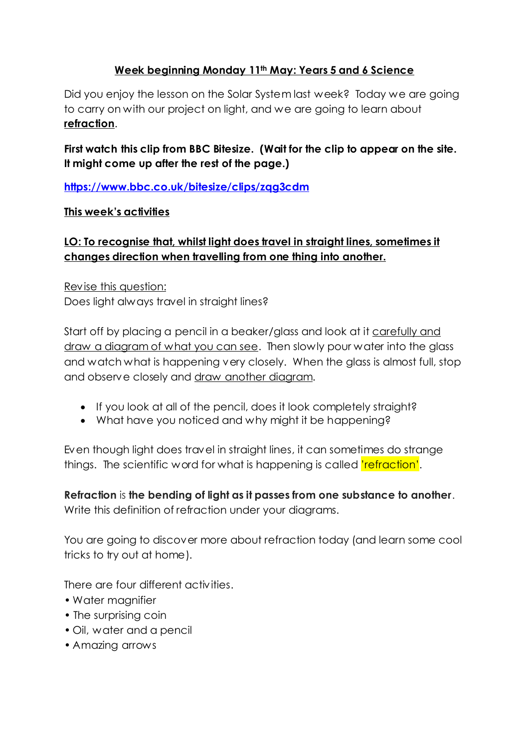## **Week beginning Monday 11th May: Years 5 and 6 Science**

Did you enjoy the lesson on the Solar System last week? Today we are going to carry on with our project on light, and we are going to learn about **refraction**.

**First watch this clip from BBC Bitesize. (Wait for the clip to appear on the site. It might come up after the rest of the page.)**

**<https://www.bbc.co.uk/bitesize/clips/zqg3cdm>**

## **This week's activities**

# **LO: To recognise that, whilst light does travel in straight lines, sometimes it changes direction when travelling from one thing into another.**

Revise this question: Does light always travel in straight lines?

Start off by placing a pencil in a beaker/glass and look at it carefully and draw a diagram of what you can see. Then slowly pour water into the glass and watch what is happening very closely. When the glass is almost full, stop and observe closely and draw another diagram.

- If you look at all of the pencil, does it look completely straight?
- What have you noticed and why might it be happening?

Even though light does travel in straight lines, it can sometimes do strange things. The scientific word for what is happening is called *refraction'*.

**Refraction** is **the bending of light as it passes from one substance to another**. Write this definition of refraction under your diagrams.

You are going to discover more about refraction today (and learn some cool tricks to try out at home).

There are four different activities.

- Water magnifier
- The surprising coin
- Oil, water and a pencil
- Amazing arrows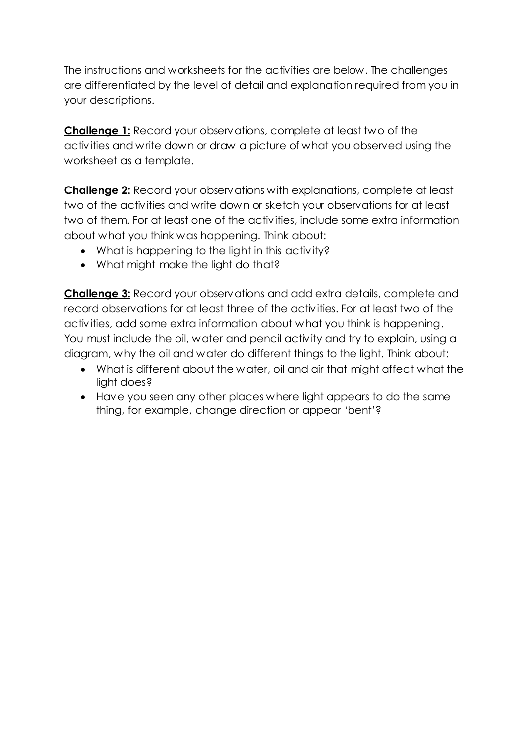The instructions and worksheets for the activities are below. The challenges are differentiated by the level of detail and explanation required from you in your descriptions.

**Challenge 1:** Record your observations, complete at least two of the activities and write down or draw a picture of what you observed using the worksheet as a template.

**Challenge 2:** Record your observations with explanations, complete at least two of the activities and write down or sketch your observations for at least two of them. For at least one of the activities, include some extra information about what you think was happening. Think about:

- What is happening to the light in this activity?
- What might make the light do that?

**Challenge 3:** Record your observations and add extra details, complete and record observations for at least three of the activities. For at least two of the activities, add some extra information about what you think is happening. You must include the oil, water and pencil activity and try to explain, using a diagram, why the oil and water do different things to the light. Think about:

- What is different about the water, oil and air that might affect what the light does?
- Have you seen any other places where light appears to do the same thing, for example, change direction or appear 'bent'?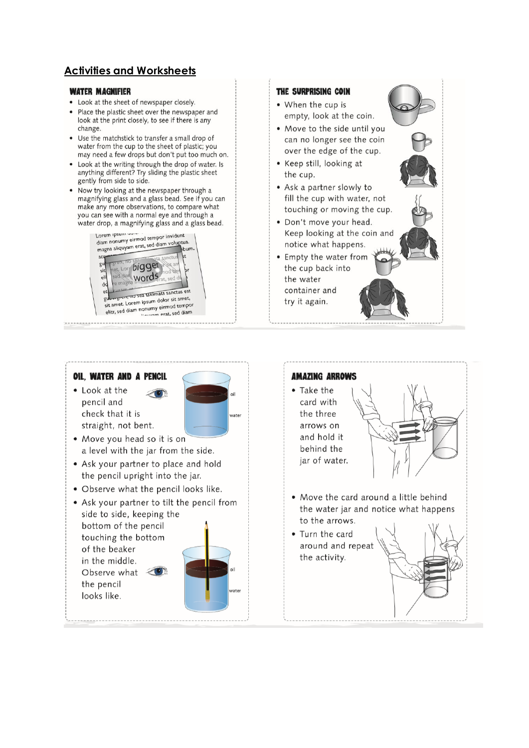## **Activities and Worksheets**

#### **WATER MAGNIFIER**

- Look at the sheet of newspaper closely.
- Place the plastic sheet over the newspaper and look at the print closely, to see if there is any change.
- Use the matchstick to transfer a small drop of water from the cup to the sheet of plastic; you may need a few drops but don't put too much on.
- Look at the writing through the drop of water. Is anything different? Try sliding the plastic sheet gently from side to side.
- Now try looking at the newspaper through a magnifying glass and a glass bead. See if you can make any more observations, to compare what you can see with a normal eye and through a water drop, a magnifying glass and a glass bead.



### THE SURPRISING COIN • When the cup is empty, look at the coin. . Move to the side until you can no longer see the coin over the edge of the cup. • Keep still, looking at the cup. • Ask a partner slowly to fill the cup with water, not touching or moving the cup. · Don't move your head. Keep looking at the coin and notice what happens. • Empty the water from the cup back into the water container and try it again.

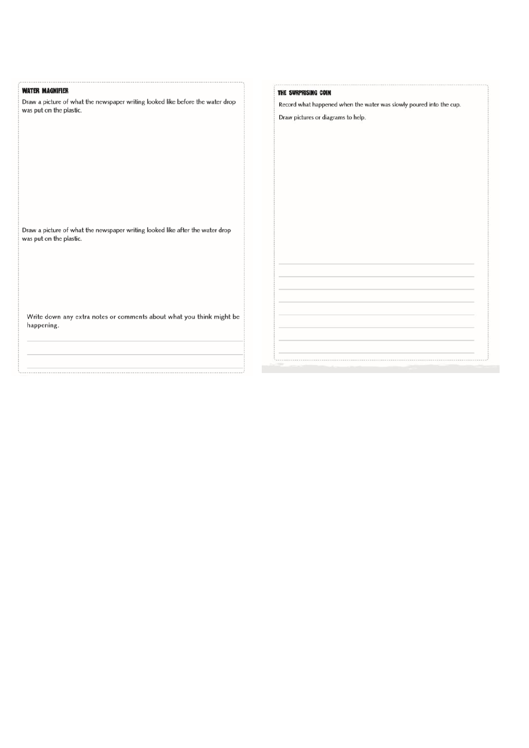| <b>WATER MAGNIFIER</b>                                                             | THE SURPRISING COIN                                                 |
|------------------------------------------------------------------------------------|---------------------------------------------------------------------|
| Draw a picture of what the newspaper writing looked like before the water drop     | Record what happened when the water was slowly poured into the cup. |
| was put on the plastic.                                                            | Draw pictures or diagrams to help.                                  |
|                                                                                    |                                                                     |
|                                                                                    |                                                                     |
|                                                                                    |                                                                     |
|                                                                                    |                                                                     |
|                                                                                    |                                                                     |
|                                                                                    |                                                                     |
|                                                                                    |                                                                     |
|                                                                                    |                                                                     |
|                                                                                    |                                                                     |
|                                                                                    |                                                                     |
| Draw a picture of what the newspaper writing looked like after the water drop      |                                                                     |
| was put on the plastic.                                                            |                                                                     |
|                                                                                    |                                                                     |
|                                                                                    |                                                                     |
|                                                                                    |                                                                     |
|                                                                                    |                                                                     |
|                                                                                    |                                                                     |
|                                                                                    |                                                                     |
|                                                                                    |                                                                     |
| Write down any extra notes or comments about what you think might be<br>happening. |                                                                     |
|                                                                                    |                                                                     |
|                                                                                    |                                                                     |
|                                                                                    |                                                                     |
|                                                                                    |                                                                     |